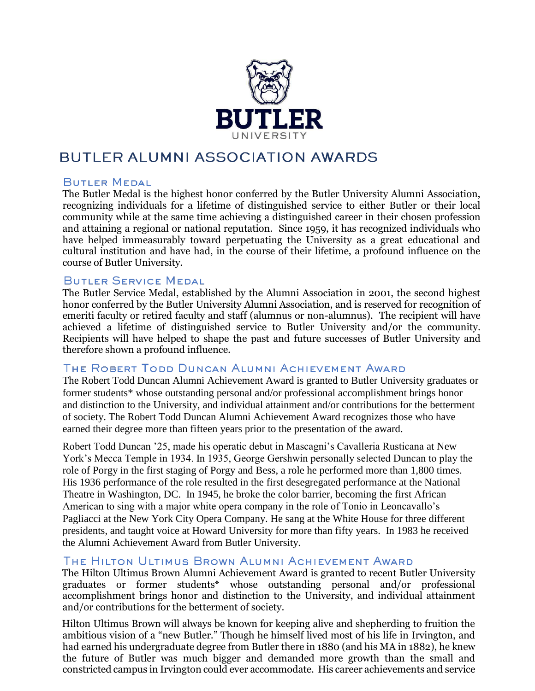

## BUTLER ALUMNI ASSOCIATION AWARDS

#### **BUTLER MEDAL**

The Butler Medal is the highest honor conferred by the Butler University Alumni Association, recognizing individuals for a lifetime of distinguished service to either Butler or their local community while at the same time achieving a distinguished career in their chosen profession and attaining a regional or national reputation. Since 1959, it has recognized individuals who have helped immeasurably toward perpetuating the University as a great educational and cultural institution and have had, in the course of their lifetime, a profound influence on the course of Butler University.

#### BUTLER SERVICE MEDAL

The Butler Service Medal, established by the Alumni Association in 2001, the second highest honor conferred by the Butler University Alumni Association, and is reserved for recognition of emeriti faculty or retired faculty and staff (alumnus or non-alumnus). The recipient will have achieved a lifetime of distinguished service to Butler University and/or the community. Recipients will have helped to shape the past and future successes of Butler University and therefore shown a profound influence.

#### THE ROBERT TODD DUNCAN ALUMNI ACHIEVEMENT AWARD

The Robert Todd Duncan Alumni Achievement Award is granted to Butler University graduates or former students\* whose outstanding personal and/or professional accomplishment brings honor and distinction to the University, and individual attainment and/or contributions for the betterment of society. The Robert Todd Duncan Alumni Achievement Award recognizes those who have earned their degree more than fifteen years prior to the presentation of the award.

Robert Todd Duncan '25, made his operatic debut in Mascagni's Cavalleria Rusticana at New York's Mecca Temple in 1934. In 1935, George Gershwin personally selected Duncan to play the role of Porgy in the first staging of Porgy and Bess, a role he performed more than 1,800 times. His 1936 performance of the role resulted in the first desegregated performance at the National Theatre in Washington, DC. In 1945, he broke the color barrier, becoming the first African American to sing with a major white opera company in the role of Tonio in Leoncavallo's Pagliacci at the New York City Opera Company. He sang at the White House for three different presidents, and taught voice at Howard University for more than fifty years. In 1983 he received the Alumni Achievement Award from Butler University.

#### THE HILTON ULTIMUS BROWN ALUMNI ACHIEVEMENT AWARD

The Hilton Ultimus Brown Alumni Achievement Award is granted to recent Butler University graduates or former students\* whose outstanding personal and/or professional accomplishment brings honor and distinction to the University, and individual attainment and/or contributions for the betterment of society.

Hilton Ultimus Brown will always be known for keeping alive and shepherding to fruition the ambitious vision of a "new Butler." Though he himself lived most of his life in Irvington, and had earned his undergraduate degree from Butler there in 1880 (and his MA in 1882), he knew the future of Butler was much bigger and demanded more growth than the small and constricted campus in Irvington could ever accommodate. His career achievements and service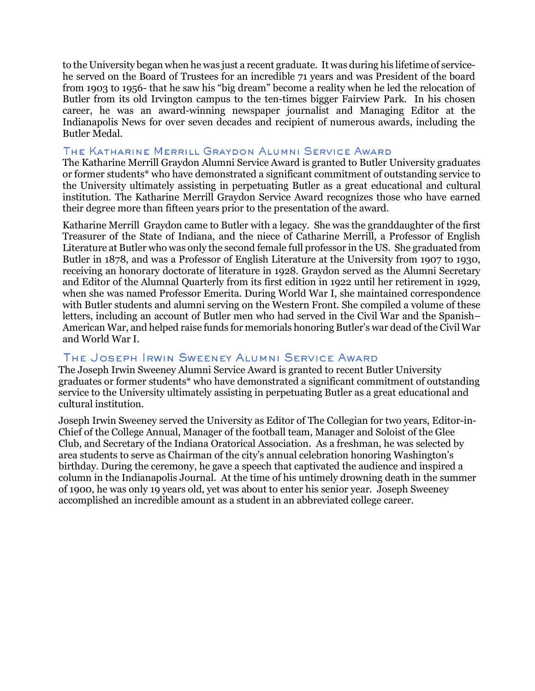to the University began when he was just a recent graduate. It was during his lifetime of servicehe served on the Board of Trustees for an incredible 71 years and was President of the board from 1903 to 1956- that he saw his "big dream" become a reality when he led the relocation of Butler from its old Irvington campus to the ten-times bigger Fairview Park. In his chosen career, he was an award-winning newspaper journalist and Managing Editor at the Indianapolis News for over seven decades and recipient of numerous awards, including the Butler Medal.

#### THE KATHARINE MERRILL GRAYDON ALUMNI SERVICE AWARD

The Katharine Merrill Graydon Alumni Service Award is granted to Butler University graduates or former students\* who have demonstrated a significant commitment of outstanding service to the University ultimately assisting in perpetuating Butler as a great educational and cultural institution. The Katharine Merrill Graydon Service Award recognizes those who have earned their degree more than fifteen years prior to the presentation of the award.

Katharine Merrill Graydon came to Butler with a legacy. She was the granddaughter of the first Treasurer of the State of Indiana, and the niece of Catharine Merrill, a Professor of English Literature at Butler who was only the second female full professor in the US. She graduated from Butler in 1878, and was a Professor of English Literature at the University from 1907 to 1930, receiving an honorary doctorate of literature in 1928. Graydon served as the Alumni Secretary and Editor of the Alumnal Quarterly from its first edition in 1922 until her retirement in 1929, when she was named Professor Emerita. During World War I, she maintained correspondence with Butler students and alumni serving on the Western Front. She compiled a volume of these letters, including an account of Butler men who had served in the Civil War and the Spanish– American War, and helped raise funds for memorials honoring Butler's war dead of the Civil War and World War I.

#### THE JOSEPH IRWIN SWEENEY ALUMNI SERVICE AWARD

The Joseph Irwin Sweeney Alumni Service Award is granted to recent Butler University graduates or former students\* who have demonstrated a significant commitment of outstanding service to the University ultimately assisting in perpetuating Butler as a great educational and cultural institution.

Joseph Irwin Sweeney served the University as Editor of The Collegian for two years, Editor-in-Chief of the College Annual, Manager of the football team, Manager and Soloist of the Glee Club, and Secretary of the Indiana Oratorical Association. As a freshman, he was selected by area students to serve as Chairman of the city's annual celebration honoring Washington's birthday. During the ceremony, he gave a speech that captivated the audience and inspired a column in the Indianapolis Journal. At the time of his untimely drowning death in the summer of 1900, he was only 19 years old, yet was about to enter his senior year. Joseph Sweeney accomplished an incredible amount as a student in an abbreviated college career.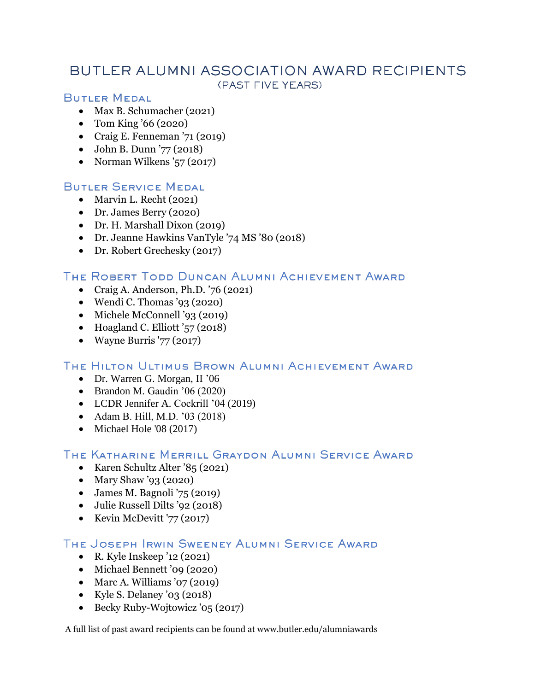## BUTLER ALUMNI ASSOCIATION AWARD RECIPIENTS (PAST FIVE YEARS)

## **BUTLER MEDAL**

- Max B. Schumacher (2021)
- Tom King '66 (2020)
- Craig E. Fenneman  $71 (2019)$
- John B. Dunn '77 (2018)
- Norman Wilkens '57 (2017)

## **BUTLER SERVICE MEDAL**

- Marvin L. Recht (2021)
- Dr. James Berry (2020)
- Dr. H. Marshall Dixon (2019)
- Dr. Jeanne Hawkins VanTyle '74 MS '80 (2018)
- Dr. Robert Grechesky (2017)

### THE ROBERT TODD DUNCAN ALUMNI ACHIEVEMENT AWARD

- Craig A. Anderson, Ph.D.  $76$  (2021)
- $\bullet$  Wendi C. Thomas '93 (2020)
- Michele McConnell '93 (2019)
- Hoagland C. Elliott  $\check{57}(2018)$
- Wayne Burris '77  $(2017)$

## THE HILTON ULTIMUS BROWN ALUMNI ACHIEVEMENT AWARD

- Dr. Warren G. Morgan, II '06
- Brandon M. Gaudin '06 (2020)
- LCDR Jennifer A. Cockrill '04 (2019)
- Adam B. Hill, M.D. '03 (2018)
- $\bullet$  Michael Hole '08 (2017)

## THE KATHARINE MERRILL GRAYDON ALUMNI SERVICE AWARD

- Karen Schultz Alter '85 (2021)
- Mary Shaw '93 (2020)
- James M. Bagnoli '75 (2019)
- Julie Russell Dilts '92 (2018)
- Kevin McDevitt '77 (2017)

## THE JOSEPH IRWIN SWEENEY ALUMNI SERVICE AWARD

- R. Kyle Inskeep '12 (2021)
- Michael Bennett '09 (2020)
- $\bullet$  Marc A. Williams '07 (2019)
- Kyle S. Delaney '03 (2018)
- Becky Ruby-Wojtowicz '05 (2017)

[A full list of past award recipients can be found at www.butler.edu/alumniawards](http://www.butler.edu/alumniawards)